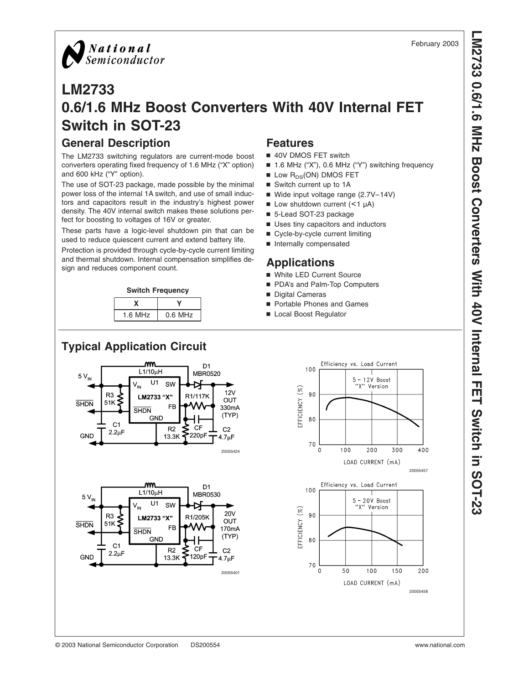

## **LM2733 0.6/1.6 MHz Boost Converters With 40V Internal FET Switch in SOT-23**

## **General Description**

The LM2733 switching regulators are current-mode boost converters operating fixed frequency of 1.6 MHz ("X" option) and 600 kHz ("Y" option).

The use of SOT-23 package, made possible by the minimal power loss of the internal 1A switch, and use of small inductors and capacitors result in the industry's highest power density. The 40V internal switch makes these solutions perfect for boosting to voltages of 16V or greater.

These parts have a logic-level shutdown pin that can be used to reduce quiescent current and extend battery life.

Protection is provided through cycle-by-cycle current limiting and thermal shutdown. Internal compensation simplifies design and reduces component count.



| $1.6$ MHz | $0.6$ MHz |  |  |
|-----------|-----------|--|--|

## **Features**

- 40V DMOS FET switch
- 1.6 MHz ("X"), 0.6 MHz ("Y") switching frequency
- $\blacksquare$  Low  $R_{DS}(ON)$  DMOS FET
- Switch current up to 1A
- $\blacksquare$  Wide input voltage range (2.7V–14V)
- $\blacksquare$  Low shutdown current (<1 µA)
- 5-Lead SOT-23 package
- **u** Uses tiny capacitors and inductors
- Cycle-by-cycle current limiting
- Internally compensated

## **Applications**

- White LED Current Source
- PDA's and Palm-Top Computers
- Digital Cameras
- Portable Phones and Games
- Local Boost Regulator



Efficiency vs. Load Current 100  $5 - 12V$  Roost "X" Version EFFICIENCY (%) 90 80 70  $\Omega$  $100$  $200$ 300  $400$ LOAD CURRENT (mA) 20055457 Efficiency vs. Load Current 100 5 - 20V Boost<br>"X" Version EFFICIENCY (%) 90



#### February 2003

20055458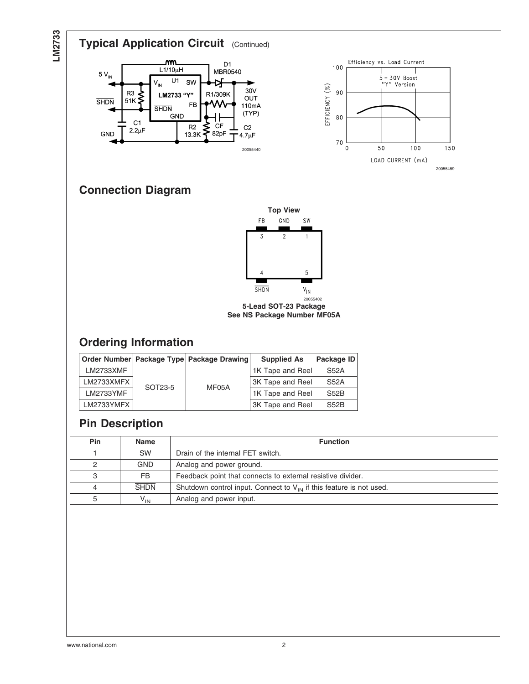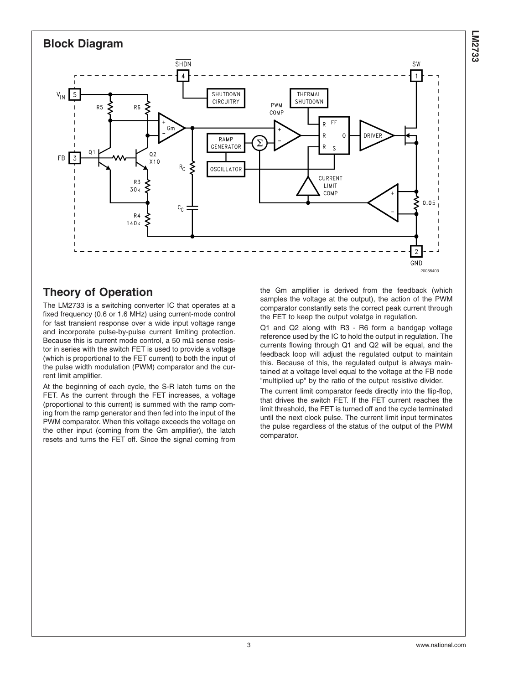

## **Theory of Operation**

The LM2733 is a switching converter IC that operates at a fixed frequency (0.6 or 1.6 MHz) using current-mode control for fast transient response over a wide input voltage range and incorporate pulse-by-pulse current limiting protection. Because this is current mode control, a 50 m $\Omega$  sense resistor in series with the switch FET is used to provide a voltage (which is proportional to the FET current) to both the input of the pulse width modulation (PWM) comparator and the current limit amplifier.

At the beginning of each cycle, the S-R latch turns on the FET. As the current through the FET increases, a voltage (proportional to this current) is summed with the ramp coming from the ramp generator and then fed into the input of the PWM comparator. When this voltage exceeds the voltage on the other input (coming from the Gm amplifier), the latch resets and turns the FET off. Since the signal coming from

the Gm amplifier is derived from the feedback (which samples the voltage at the output), the action of the PWM comparator constantly sets the correct peak current through the FET to keep the output volatge in regulation.

Q1 and Q2 along with R3 - R6 form a bandgap voltage reference used by the IC to hold the output in regulation. The currents flowing through Q1 and Q2 will be equal, and the feedback loop will adjust the regulated output to maintain this. Because of this, the regulated output is always maintained at a voltage level equal to the voltage at the FB node "multiplied up" by the ratio of the output resistive divider.

The current limit comparator feeds directly into the flip-flop, that drives the switch FET. If the FET current reaches the limit threshold, the FET is turned off and the cycle terminated until the next clock pulse. The current limit input terminates the pulse regardless of the status of the output of the PWM comparator.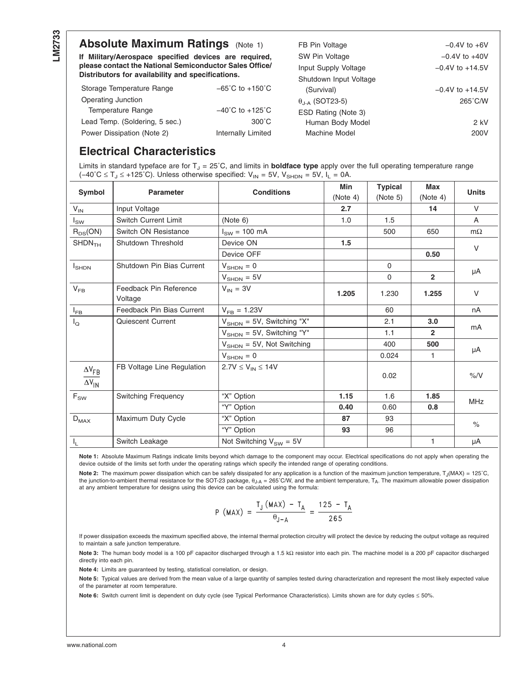### **Absolute Maximum Ratings** (Note 1)

**If Military/Aerospace specified devices are required, please contact the National Semiconductor Sales Office/ Distributors for availability and specifications.**

| Storage Temperature Range      | $-65^{\circ}$ C to $+150^{\circ}$ C |
|--------------------------------|-------------------------------------|
| Operating Junction             |                                     |
| Temperature Range              | $-40^{\circ}$ C to $+125^{\circ}$ C |
| Lead Temp. (Soldering, 5 sec.) | $300^{\circ}$ C                     |
| Power Dissipation (Note 2)     | <b>Internally Limited</b>           |

| FB Pin Voltage                 | $-0.4V$ to $+6V$    |
|--------------------------------|---------------------|
| SW Pin Voltage                 | $-0.4V$ to $+40V$   |
| Input Supply Voltage           | $-0.4V$ to $+14.5V$ |
| Shutdown Input Voltage         |                     |
| (Survival)                     | $-0.4V$ to $+14.5V$ |
| $\theta_{\text{LA}}$ (SOT23-5) | $265^{\circ}$ C/W   |
| ESD Rating (Note 3)            |                     |
| Human Body Model               | 2 kV                |
| Machine Model                  | 200V                |
|                                |                     |

## **Electrical Characteristics**

Limits in standard typeface are for  $T_{J} = 25^{\circ}$ C, and limits in **boldface type** apply over the full operating temperature range (-40°C ≤ T<sub>J</sub> ≤ +125°C). Unless otherwise specified:  $V_{IN}$  = 5V, V<sub>SHDN</sub> = 5V, I<sub>L</sub> = 0A.

| Symbol                             | <b>Parameter</b>                  | <b>Conditions</b>                      | Min<br>(Note 4) | <b>Typical</b><br>(Note 5) | Max<br>(Note 4) | <b>Units</b>  |
|------------------------------------|-----------------------------------|----------------------------------------|-----------------|----------------------------|-----------------|---------------|
| $V_{IN}$                           | Input Voltage                     |                                        | 2.7             |                            | 14              | $\vee$        |
| $I_{SW}$                           | <b>Switch Current Limit</b>       | (Note 6)                               | 1.0             | 1.5                        |                 | $\mathsf{A}$  |
| $R_{DS}(ON)$                       | Switch ON Resistance              | $I_{SW}$ = 100 mA                      |                 | 500                        | 650             | $m\Omega$     |
| $SHDN$ <sub>TH</sub>               | Shutdown Threshold                | Device ON                              | 1.5             |                            |                 | $\vee$        |
|                                    |                                   | Device OFF                             |                 |                            | 0.50            |               |
| $I_{\text{SHDN}}$                  | Shutdown Pin Bias Current         | $V_{\text{SHDN}} = 0$                  |                 | $\Omega$                   |                 |               |
|                                    |                                   | $V_{\text{SHDN}} = 5V$                 |                 | $\Omega$                   | $\overline{2}$  | μA            |
| $V_{FB}$                           | Feedback Pin Reference<br>Voltage | $V_{IN} = 3V$                          | 1.205           | 1.230                      | 1.255           | $\vee$        |
| $I_{FB}$                           | Feedback Pin Bias Current         | $V_{FB} = 1.23V$                       |                 | 60                         |                 | nA            |
| $I_{\mathsf{Q}}$                   | Quiescent Current                 | $V_{\text{SHDN}} = 5V$ , Switching "X" |                 | 2.1                        | 3.0             |               |
|                                    |                                   | $V_{\text{SHDN}} = 5V$ , Switching "Y" |                 | 1.1                        | $\overline{2}$  | mA            |
|                                    |                                   | $V_{\text{SHDN}} = 5V$ , Not Switching |                 | 400                        | 500             |               |
|                                    |                                   | $V_{\text{SHDN}} = 0$                  |                 | 0.024                      | 1               | μA            |
| $\Delta V_{FB}$<br>$\Delta V_{IN}$ | FB Voltage Line Regulation        | $2.7V \le V_{IN} \le 14V$              |                 | 0.02                       |                 | $\%$ /V       |
| $\mathsf{F}_{\mathsf{SW}}$         | <b>Switching Frequency</b>        | "X" Option                             | 1.15            | 1.6                        | 1.85            | <b>MHz</b>    |
|                                    |                                   | "Y" Option                             | 0.40            | 0.60                       | 0.8             |               |
| $D_{MAX}$                          | Maximum Duty Cycle                | "X" Option                             | 87              | 93                         |                 | $\frac{1}{2}$ |
|                                    |                                   | "Y" Option                             | 93              | 96                         |                 |               |
| $I_{L}$                            | Switch Leakage                    | Not Switching $V_{SW} = 5V$            |                 |                            | 1               | μA            |

**Note 1:** Absolute Maximum Ratings indicate limits beyond which damage to the component may occur. Electrical specifications do not apply when operating the device outside of the limits set forth under the operating ratings which specify the intended range of operating conditions.

Note 2: The maximum power dissipation which can be safely dissipated for any application is a function of the maximum junction temperature, T<sub>J</sub>(MAX) = 125°C, the junction-to-ambient thermal resistance for the SOT-23 package,  $θ<sub>J-A</sub> = 265°C/W$ , and the ambient temperature,  $T<sub>A</sub>$ . The maximum allowable power dissipation at any ambient temperature for designs using this device can be calculated using the formula:

$$
P (MAX) = \frac{T_J (MAX) - T_A}{\theta_{J-A}} = \frac{125 - T_A}{265}
$$

If power dissipation exceeds the maximum specified above, the internal thermal protection circuitry will protect the device by reducing the output voltage as required to maintain a safe junction temperature.

**Note 3:** The human body model is a 100 pF capacitor discharged through a 1.5 kΩ resistor into each pin. The machine model is a 200 pF capacitor discharged directly into each pin.

**Note 4:** Limits are guaranteed by testing, statistical correlation, or design.

Note 5: Typical values are derived from the mean value of a large quantity of samples tested during characterization and represent the most likely expected value of the parameter at room temperature.

Note 6: Switch current limit is dependent on duty cycle (see Typical Performance Characteristics). Limits shown are for duty cycles ≤ 50%.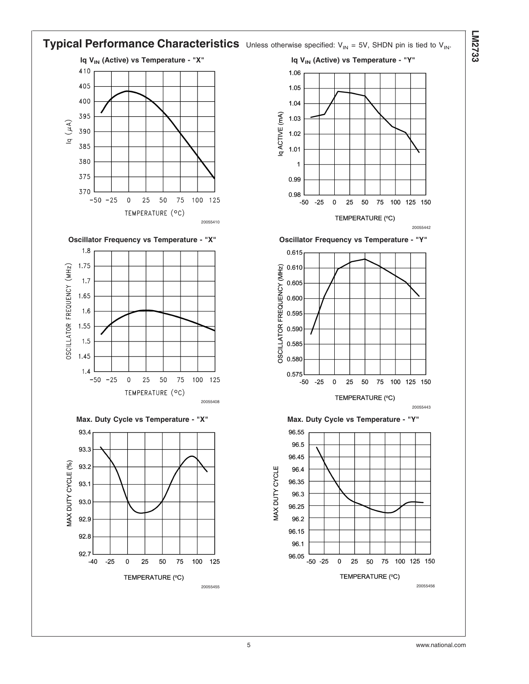

**LM2733**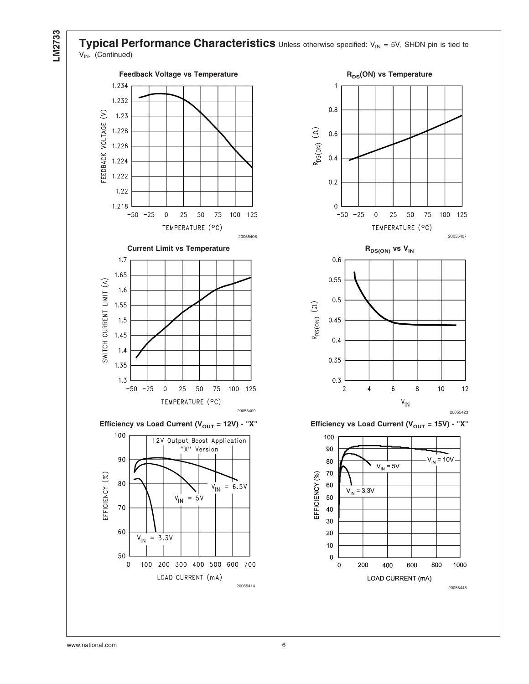

**Typical Performance Characteristics** Unless otherwise specified: V<sub>IN</sub> = 5V, SHDN pin is tied to  $V_{IN.}$  (Continued)





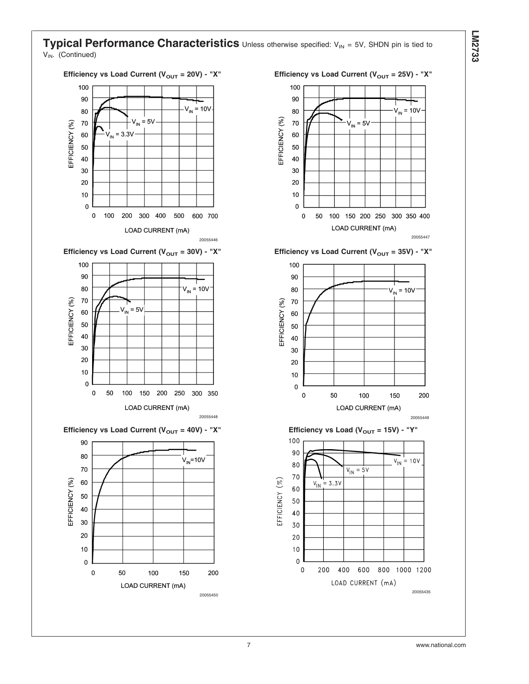#### **Typical Performance Characteristics** Unless otherwise specified: V<sub>IN</sub> = 5V, SHDN pin is tied to V<sub>IN</sub>. (Continued)



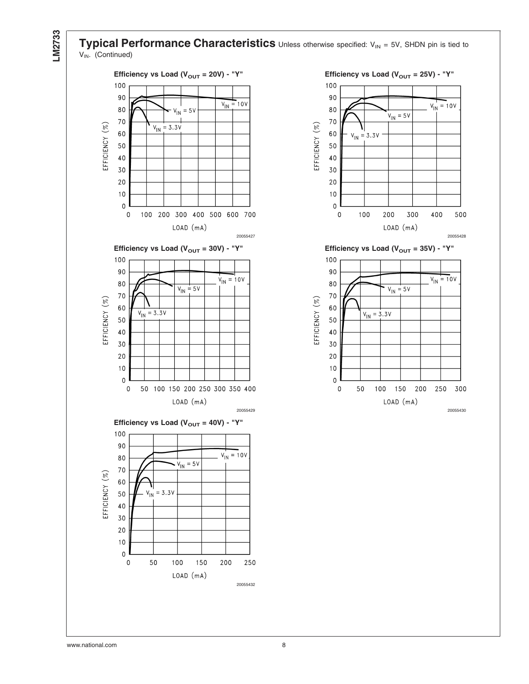

**Typical Performance Characteristics** Unless otherwise specified: V<sub>IN</sub> = 5V, SHDN pin is tied to V<sub>IN</sub>. (Continued)





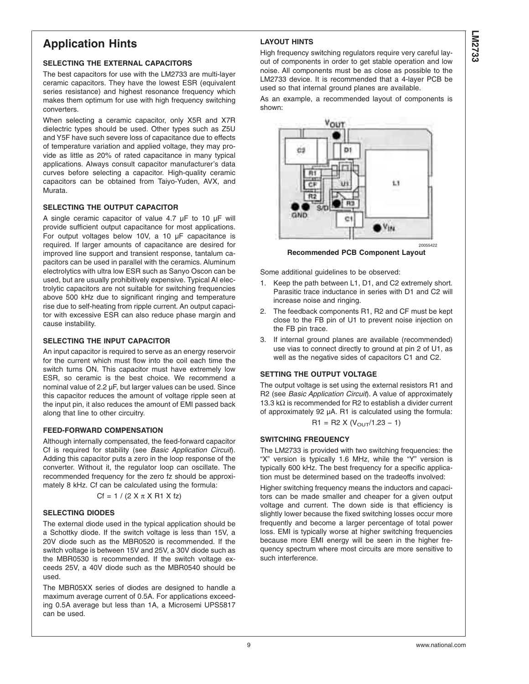# **LM2733**

## **Application Hints**

#### **SELECTING THE EXTERNAL CAPACITORS**

The best capacitors for use with the LM2733 are multi-layer ceramic capacitors. They have the lowest ESR (equivalent series resistance) and highest resonance frequency which makes them optimum for use with high frequency switching converters.

When selecting a ceramic capacitor, only X5R and X7R dielectric types should be used. Other types such as Z5U and Y5F have such severe loss of capacitance due to effects of temperature variation and applied voltage, they may provide as little as 20% of rated capacitance in many typical applications. Always consult capacitor manufacturer's data curves before selecting a capacitor. High-quality ceramic capacitors can be obtained from Taiyo-Yuden, AVX, and Murata.

#### **SELECTING THE OUTPUT CAPACITOR**

A single ceramic capacitor of value 4.7 µF to 10 µF will provide sufficient output capacitance for most applications. For output voltages below 10V, a 10 µF capacitance is required. If larger amounts of capacitance are desired for improved line support and transient response, tantalum capacitors can be used in parallel with the ceramics. Aluminum electrolytics with ultra low ESR such as Sanyo Oscon can be used, but are usually prohibitively expensive. Typical AI electrolytic capacitors are not suitable for switching frequencies above 500 kHz due to significant ringing and temperature rise due to self-heating from ripple current. An output capacitor with excessive ESR can also reduce phase margin and cause instability.

#### **SELECTING THE INPUT CAPACITOR**

An input capacitor is required to serve as an energy reservoir for the current which must flow into the coil each time the switch turns ON. This capacitor must have extremely low ESR, so ceramic is the best choice. We recommend a nominal value of 2.2 µF, but larger values can be used. Since this capacitor reduces the amount of voltage ripple seen at the input pin, it also reduces the amount of EMI passed back along that line to other circuitry.

#### **FEED-FORWARD COMPENSATION**

Although internally compensated, the feed-forward capacitor Cf is required for stability (see *Basic Application Circuit*). Adding this capacitor puts a zero in the loop response of the converter. Without it, the regulator loop can oscillate. The recommended frequency for the zero fz should be approximately 8 kHz. Cf can be calculated using the formula:

$$
Cf = 1 / (2 X \pi X R1 X fz)
$$

#### **SELECTING DIODES**

The external diode used in the typical application should be a Schottky diode. If the switch voltage is less than 15V, a 20V diode such as the MBR0520 is recommended. If the switch voltage is between 15V and 25V, a 30V diode such as the MBR0530 is recommended. If the switch voltage exceeds 25V, a 40V diode such as the MBR0540 should be used.

The MBR05XX series of diodes are designed to handle a maximum average current of 0.5A. For applications exceeding 0.5A average but less than 1A, a Microsemi UPS5817 can be used.

High frequency switching regulators require very careful layout of components in order to get stable operation and low noise. All components must be as close as possible to the LM2733 device. It is recommended that a 4-layer PCB be used so that internal ground planes are available.

**LAYOUT HINTS**

As an example, a recommended layout of components is shown:



**Recommended PCB Component Layout**

Some additional guidelines to be observed:

- 1. Keep the path between L1, D1, and C2 extremely short. Parasitic trace inductance in series with D1 and C2 will increase noise and ringing.
- 2. The feedback components R1, R2 and CF must be kept close to the FB pin of U1 to prevent noise injection on the FB pin trace.
- 3. If internal ground planes are available (recommended) use vias to connect directly to ground at pin 2 of U1, as well as the negative sides of capacitors C1 and C2.

#### **SETTING THE OUTPUT VOLTAGE**

The output voltage is set using the external resistors R1 and R2 (see *Basic Application Circuit*). A value of approximately 13.3 kΩ is recommended for R2 to establish a divider current of approximately 92 µA. R1 is calculated using the formula:

$$
R1 = R2 \times (V_{\text{OUT}}/1.23 - 1)
$$

#### **SWITCHING FREQUENCY**

The LM2733 is provided with two switching frequencies: the "X" version is typically 1.6 MHz, while the "Y" version is typically 600 kHz. The best frequency for a specific application must be determined based on the tradeoffs involved:

Higher switching frequency means the inductors and capacitors can be made smaller and cheaper for a given output voltage and current. The down side is that efficiency is slightly lower because the fixed switching losses occur more frequently and become a larger percentage of total power loss. EMI is typically worse at higher switching frequencies because more EMI energy will be seen in the higher frequency spectrum where most circuits are more sensitive to such interference.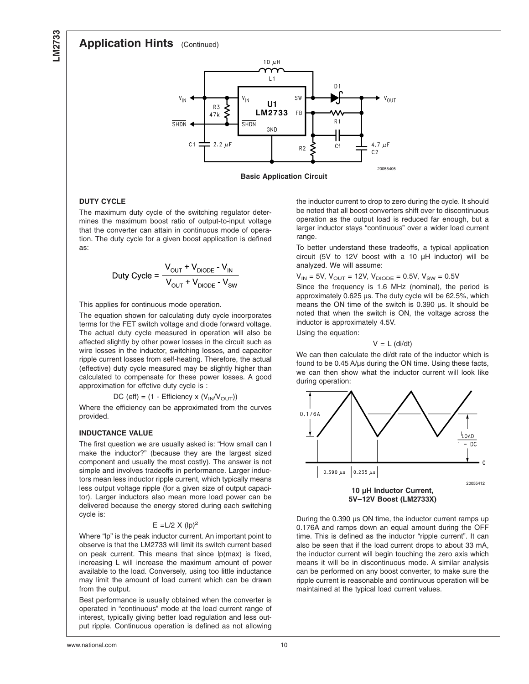**LM2733**

#### **Application Hints** (Continued)



**Basic Application Circuit**

#### **DUTY CYCLE**

The maximum duty cycle of the switching regulator determines the maximum boost ratio of output-to-input voltage that the converter can attain in continuous mode of operation. The duty cycle for a given boost application is defined as:

$$
Duty Cycle = \frac{V_{OUT} + V_{DIODE} - V_{IN}}{V_{OUT} + V_{DIODE} - V_{SW}}
$$

This applies for continuous mode operation.

The equation shown for calculating duty cycle incorporates terms for the FET switch voltage and diode forward voltage. The actual duty cycle measured in operation will also be affected slightly by other power losses in the circuit such as wire losses in the inductor, switching losses, and capacitor ripple current losses from self-heating. Therefore, the actual (effective) duty cycle measured may be slightly higher than calculated to compensate for these power losses. A good approximation for effctive duty cycle is :

 $DC$  (eff) = (1 - Efficiency x ( $V_{IN}/V_{OUT}$ ))

Where the efficiency can be approximated from the curves provided.

#### **INDUCTANCE VALUE**

The first question we are usually asked is: "How small can I make the inductor?" (because they are the largest sized component and usually the most costly). The answer is not simple and involves tradeoffs in performance. Larger inductors mean less inductor ripple current, which typically means less output voltage ripple (for a given size of output capacitor). Larger inductors also mean more load power can be delivered because the energy stored during each switching cycle is:

#### $E = L/2$  X  $(lp)^2$

Where "lp" is the peak inductor current. An important point to observe is that the LM2733 will limit its switch current based on peak current. This means that since lp(max) is fixed, increasing L will increase the maximum amount of power available to the load. Conversely, using too little inductance may limit the amount of load current which can be drawn from the output.

Best performance is usually obtained when the converter is operated in "continuous" mode at the load current range of interest, typically giving better load regulation and less output ripple. Continuous operation is defined as not allowing the inductor current to drop to zero during the cycle. It should be noted that all boost converters shift over to discontinuous operation as the output load is reduced far enough, but a larger inductor stays "continuous" over a wider load current range.

To better understand these tradeoffs, a typical application circuit (5V to 12V boost with a 10 µH inductor) will be analyzed. We will assume:

 $V_{IN}$  = 5V,  $V_{OUT}$  = 12V,  $V_{DIODE}$  = 0.5V,  $V_{SW}$  = 0.5V

Since the frequency is 1.6 MHz (nominal), the period is approximately 0.625 µs. The duty cycle will be 62.5%, which means the ON time of the switch is 0.390 µs. It should be noted that when the switch is ON, the voltage across the inductor is approximately 4.5V.

Using the equation:

 $V = L$  (di/dt)

We can then calculate the di/dt rate of the inductor which is found to be 0.45 A/µs during the ON time. Using these facts, we can then show what the inductor current will look like during operation:



During the 0.390 µs ON time, the inductor current ramps up 0.176A and ramps down an equal amount during the OFF time. This is defined as the inductor "ripple current". It can also be seen that if the load current drops to about 33 mA, the inductor current will begin touching the zero axis which means it will be in discontinuous mode. A similar analysis can be performed on any boost converter, to make sure the ripple current is reasonable and continuous operation will be maintained at the typical load current values.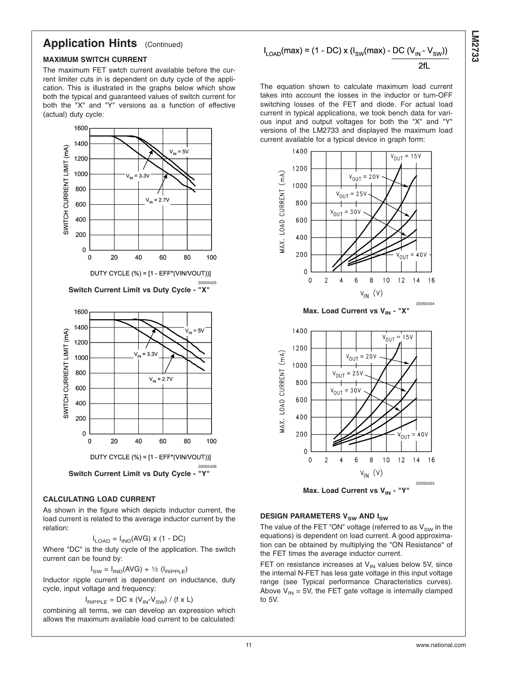## **Application Hints** (Continued)

#### **MAXIMUM SWITCH CURRENT**

The maximum FET swtch current available before the current limiter cuts in is dependent on duty cycle of the application. This is illustrated in the graphs below which show both the typical and guaranteed values of switch current for both the "X" and "Y" versions as a function of effective (actual) duty cycle:



#### **CALCULATING LOAD CURRENT**

As shown in the figure which depicts inductor current, the load current is related to the average inductor current by the relation:

$$
I_{\text{LOAD}} = I_{\text{IND}}(\text{AVG}) \times (1 - \text{DC})
$$

Where "DC" is the duty cycle of the application. The switch current can be found by:

 $I<sub>SW</sub> = I<sub>IND</sub>(AVG) + 1/2 (I<sub>RIPPLE</sub>)$ 

Inductor ripple current is dependent on inductance, duty cycle, input voltage and frequency:

$$
I_{\text{RIPPLE}} = \text{DC} \times (V_{\text{IN}} \cdot V_{\text{SW}}) / (f \times L)
$$

combining all terms, we can develop an expression which allows the maximum available load current to be calculated:

$$
I_{\text{LOAD}}(\text{max}) = (1 - \text{DC}) \times (I_{\text{SW}}(\text{max}) - \frac{\text{DC} (V_{\text{IN}} - V_{\text{SW}}))}{2\text{fl}}
$$

The equation shown to calculate maximum load current takes into account the losses in the inductor or turn-OFF switching losses of the FET and diode. For actual load current in typical applications, we took bench data for various input and output voltages for both the "X" and "Y" versions of the LM2733 and displayed the maximum load current available for a typical device in graph form:



#### **DESIGN PARAMETERS V<sub>SW</sub> AND I<sub>SW</sub>**

The value of the FET "ON" voltage (referred to as  $V_{SW}$  in the equations) is dependent on load current. A good approximation can be obtained by multiplying the "ON Resistance" of the FET times the average inductor current.

FET on resistance increases at  $V_{IN}$  values below 5V, since the internal N-FET has less gate voltage in this input voltage range (see Typical performance Characteristics curves). Above  $V_{IN} = 5V$ , the FET gate voltage is internally clamped to 5V.

**LM2733**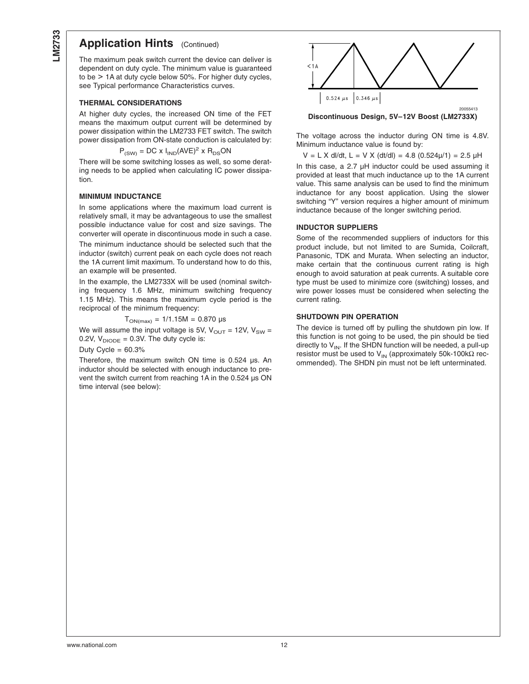#### **Application Hints** (Continued)

The maximum peak switch current the device can deliver is dependent on duty cycle. The minimum value is guaranteed to be > 1A at duty cycle below 50%. For higher duty cycles, see Typical performance Characteristics curves.

#### **THERMAL CONSIDERATIONS**

At higher duty cycles, the increased ON time of the FET means the maximum output current will be determined by power dissipation within the LM2733 FET switch. The switch power dissipation from ON-state conduction is calculated by:

$$
P_{\text{(SW)}} = DC \times I_{\text{IND}} (\text{AVE})^2 \times R_{\text{DS}} ON
$$

There will be some switching losses as well, so some derating needs to be applied when calculating IC power dissipation.

#### **MINIMUM INDUCTANCE**

In some applications where the maximum load current is relatively small, it may be advantageous to use the smallest possible inductance value for cost and size savings. The converter will operate in discontinuous mode in such a case.

The minimum inductance should be selected such that the inductor (switch) current peak on each cycle does not reach the 1A current limit maximum. To understand how to do this, an example will be presented.

In the example, the LM2733X will be used (nominal switching frequency 1.6 MHz, minimum switching frequency 1.15 MHz). This means the maximum cycle period is the reciprocal of the minimum frequency:

$$
T_{ON(max)} = 1/1.15M = 0.870 \text{ }\mu\text{s}
$$

We will assume the input voltage is 5V,  $V_{\text{OUT}} = 12V$ ,  $V_{\text{SW}} =$ 0.2V,  $V_{DIODE} = 0.3V$ . The duty cycle is:

#### Duty Cycle  $= 60.3%$

Therefore, the maximum switch ON time is 0.524 µs. An inductor should be selected with enough inductance to prevent the switch current from reaching 1A in the 0.524 µs ON time interval (see below):



**Discontinuous Design, 5V–12V Boost (LM2733X)**

The voltage across the inductor during ON time is 4.8V. Minimum inductance value is found by:

 $V = L X$  dl/dt,  $L = V X$  (dt/dl) = 4.8 (0.524 $\mu$ /1) = 2.5  $\mu$ H

In this case, a 2.7 µH inductor could be used assuming it provided at least that much inductance up to the 1A current value. This same analysis can be used to find the minimum inductance for any boost application. Using the slower switching "Y" version requires a higher amount of minimum inductance because of the longer switching period.

#### **INDUCTOR SUPPLIERS**

Some of the recommended suppliers of inductors for this product include, but not limited to are Sumida, Coilcraft, Panasonic, TDK and Murata. When selecting an inductor, make certain that the continuous current rating is high enough to avoid saturation at peak currents. A suitable core type must be used to minimize core (switching) losses, and wire power losses must be considered when selecting the current rating.

#### **SHUTDOWN PIN OPERATION**

The device is turned off by pulling the shutdown pin low. If this function is not going to be used, the pin should be tied directly to  $V_{IN}$ . If the SHDN function will be needed, a pull-up resistor must be used to V<sub>IN</sub> (approximately 50k-100kΩ recommended). The SHDN pin must not be left unterminated.